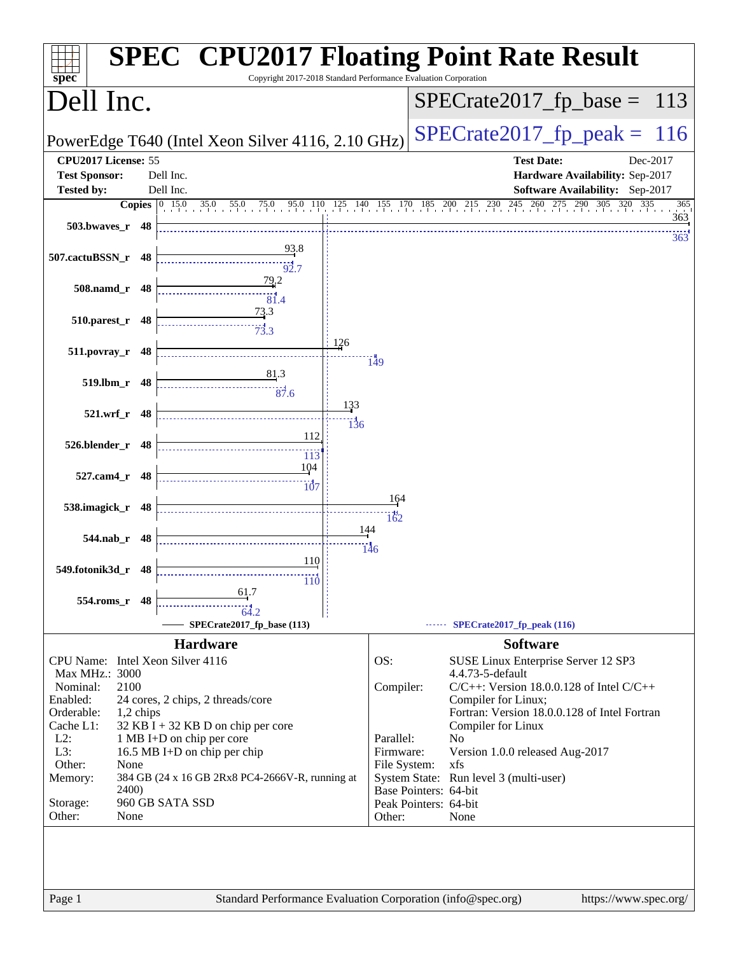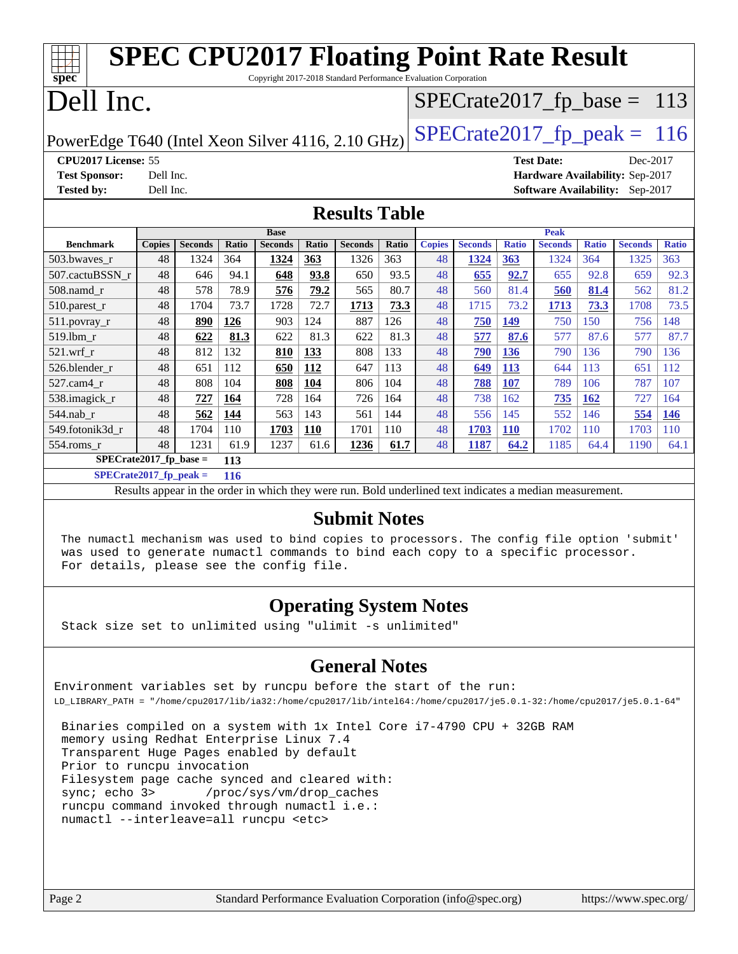| <b>SPEC CPU2017 Floating Point Rate Result</b>                                     |                                                      |                |              |                |              |                |                               |               |                |              |                                 |              |                |              |
|------------------------------------------------------------------------------------|------------------------------------------------------|----------------|--------------|----------------|--------------|----------------|-------------------------------|---------------|----------------|--------------|---------------------------------|--------------|----------------|--------------|
| spec<br>Copyright 2017-2018 Standard Performance Evaluation Corporation            |                                                      |                |              |                |              |                |                               |               |                |              |                                 |              |                |              |
| Dell Inc.                                                                          |                                                      |                |              |                |              |                | $SPECTate2017_fp\_base = 113$ |               |                |              |                                 |              |                |              |
| $SPECTate2017$ _fp_peak = 116<br>PowerEdge T640 (Intel Xeon Silver 4116, 2.10 GHz) |                                                      |                |              |                |              |                |                               |               |                |              |                                 |              |                |              |
|                                                                                    | CPU2017 License: 55<br><b>Test Date:</b><br>Dec-2017 |                |              |                |              |                |                               |               |                |              |                                 |              |                |              |
| <b>Test Sponsor:</b>                                                               | Dell Inc.                                            |                |              |                |              |                |                               |               |                |              | Hardware Availability: Sep-2017 |              |                |              |
| <b>Tested by:</b>                                                                  | Dell Inc.                                            |                |              |                |              |                |                               |               |                |              | <b>Software Availability:</b>   |              | $Sep-2017$     |              |
| <b>Results Table</b>                                                               |                                                      |                |              |                |              |                |                               |               |                |              |                                 |              |                |              |
|                                                                                    |                                                      |                |              | <b>Base</b>    |              |                |                               |               |                |              | Peak                            |              |                |              |
| <b>Benchmark</b>                                                                   | <b>Copies</b>                                        | <b>Seconds</b> | <b>Ratio</b> | <b>Seconds</b> | <b>Ratio</b> | <b>Seconds</b> | Ratio                         | <b>Copies</b> | <b>Seconds</b> | <b>Ratio</b> | <b>Seconds</b>                  | <b>Ratio</b> | <b>Seconds</b> | <b>Ratio</b> |
| 503.bwayes r                                                                       | 48                                                   | 1324           | 364          | 1324           | 363          | 1326           | 363                           | 48            | 1324           | 363          | 1324                            | 364          | 1325           | 363          |
| 507.cactuBSSN_r                                                                    | 48                                                   | 646            | 94.1         | 648            | 93.8         | 650            | 93.5                          | 48            | 655            | 92.7         | 655                             | 92.8         | 659            | 92.3         |
| 508.namd r                                                                         | 48                                                   | 578            | 78.9         | 576            | 79.2         | 565            | 80.7                          | 48            | 560            | 81.4         | 560                             | 81.4         | 562            | 81.2         |
| $510.parest_r$                                                                     | 48                                                   | 1704           | 73.7         | 1728           | 72.7         | 1713           | 73.3                          | 48            | 1715           | 73.2         | 1713                            | 73.3         | 1708           | 73.5         |
| 511.povray_r                                                                       | 48                                                   | 890            | 126          | 903            | 124          | 887            | 126                           | 48            | 750            | 149          | 750                             | 150          | 756            | 148          |
| 519.lbm r                                                                          | 48                                                   | 622            | 81.3         | 622            | 81.3         | 622            | 81.3                          | 48            | 577            | 87.6         | 577                             | 87.6         | 577            | 87.7         |
| 521.wrf r                                                                          | 48                                                   | 812            | 132          | 810            | 133          | 808            | 133                           | 48            | 790            | 136          | 790                             | 136          | 790            | 136          |
| 526.blender r                                                                      | 48                                                   | 651            | 112          | 650            | 112          | 647            | 113                           | 48            | 649            | 113          | 644                             | 113          | 651            | 112          |
| 527.cam4_r                                                                         | 48                                                   | 808            | 104          | 808            | 104          | 806            | 104                           | 48            | 788            | 107          | 789                             | 106          | 787            | 107          |
| 538.imagick_r                                                                      | 48                                                   | 727            | 164          | 728            | 164          | 726            | 164                           | 48            | 738            | 162          | 735                             | 162          | 727            | 164          |
| $544$ .nab_r                                                                       | 48                                                   | 562            | 144          | 563            | 143          | 561            | 144                           | 48            | 556            | 145          | 552                             | 146          | 554            | <b>146</b>   |
| 549.fotonik3d r                                                                    | 48                                                   | 1704           | 110          | 1703           | 110          | 1701           | 110                           | 48            | 1703           | <b>110</b>   | 1702                            | 110          | 1703           | 110          |
| 554.roms r                                                                         | 48                                                   | 1231           | 61.9         | 1237           | 61.6         | 1236           | 61.7                          | 48            | 1187           | 64.2         | 1185                            | 64.4         | 1190           | 64.1         |
| $SPECrate2017_fp\_base =$                                                          |                                                      |                | 113          |                |              |                |                               |               |                |              |                                 |              |                |              |
| $SPECrate2017_fp_peak =$                                                           |                                                      |                | 116          |                |              |                |                               |               |                |              |                                 |              |                |              |

Results appear in the [order in which they were run.](http://www.spec.org/auto/cpu2017/Docs/result-fields.html#RunOrder) Bold underlined text [indicates a median measurement.](http://www.spec.org/auto/cpu2017/Docs/result-fields.html#Median)

#### **[Submit Notes](http://www.spec.org/auto/cpu2017/Docs/result-fields.html#SubmitNotes)**

 The numactl mechanism was used to bind copies to processors. The config file option 'submit' was used to generate numactl commands to bind each copy to a specific processor. For details, please see the config file.

## **[Operating System Notes](http://www.spec.org/auto/cpu2017/Docs/result-fields.html#OperatingSystemNotes)**

Stack size set to unlimited using "ulimit -s unlimited"

## **[General Notes](http://www.spec.org/auto/cpu2017/Docs/result-fields.html#GeneralNotes)**

Environment variables set by runcpu before the start of the run: LD\_LIBRARY\_PATH = "/home/cpu2017/lib/ia32:/home/cpu2017/lib/intel64:/home/cpu2017/je5.0.1-32:/home/cpu2017/je5.0.1-64"

 Binaries compiled on a system with 1x Intel Core i7-4790 CPU + 32GB RAM memory using Redhat Enterprise Linux 7.4 Transparent Huge Pages enabled by default Prior to runcpu invocation Filesystem page cache synced and cleared with: sync; echo 3> /proc/sys/vm/drop\_caches runcpu command invoked through numactl i.e.: numactl --interleave=all runcpu <etc>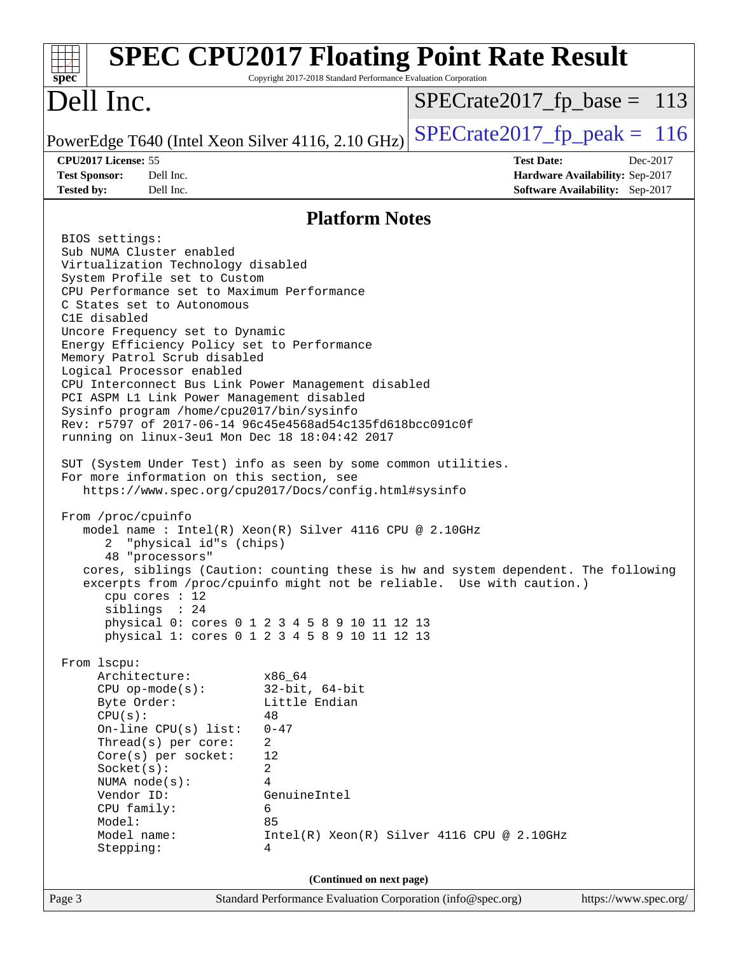| spec <sup>®</sup>                                                                                                                                                                                                                                                                                                                                                                                                                                                                                                                                                                                                                                                                                                                                                                                                                                                                                                                                                                                                                                                                                                                                                                                                                                                                                                                             | Copyright 2017-2018 Standard Performance Evaluation Corporation                                                                                    | <b>SPEC CPU2017 Floating Point Rate Result</b>                                                                                                                                                            |                       |
|-----------------------------------------------------------------------------------------------------------------------------------------------------------------------------------------------------------------------------------------------------------------------------------------------------------------------------------------------------------------------------------------------------------------------------------------------------------------------------------------------------------------------------------------------------------------------------------------------------------------------------------------------------------------------------------------------------------------------------------------------------------------------------------------------------------------------------------------------------------------------------------------------------------------------------------------------------------------------------------------------------------------------------------------------------------------------------------------------------------------------------------------------------------------------------------------------------------------------------------------------------------------------------------------------------------------------------------------------|----------------------------------------------------------------------------------------------------------------------------------------------------|-----------------------------------------------------------------------------------------------------------------------------------------------------------------------------------------------------------|-----------------------|
| Dell Inc.                                                                                                                                                                                                                                                                                                                                                                                                                                                                                                                                                                                                                                                                                                                                                                                                                                                                                                                                                                                                                                                                                                                                                                                                                                                                                                                                     |                                                                                                                                                    | $SPECrate2017_fp\_base = 113$                                                                                                                                                                             |                       |
| PowerEdge T640 (Intel Xeon Silver 4116, 2.10 GHz)                                                                                                                                                                                                                                                                                                                                                                                                                                                                                                                                                                                                                                                                                                                                                                                                                                                                                                                                                                                                                                                                                                                                                                                                                                                                                             |                                                                                                                                                    | $SPECrate2017fp peak = 116$                                                                                                                                                                               |                       |
| CPU2017 License: 55                                                                                                                                                                                                                                                                                                                                                                                                                                                                                                                                                                                                                                                                                                                                                                                                                                                                                                                                                                                                                                                                                                                                                                                                                                                                                                                           |                                                                                                                                                    | <b>Test Date:</b>                                                                                                                                                                                         | Dec-2017              |
| <b>Test Sponsor:</b><br>Dell Inc.<br>Dell Inc.                                                                                                                                                                                                                                                                                                                                                                                                                                                                                                                                                                                                                                                                                                                                                                                                                                                                                                                                                                                                                                                                                                                                                                                                                                                                                                |                                                                                                                                                    | Hardware Availability: Sep-2017                                                                                                                                                                           |                       |
| <b>Tested by:</b>                                                                                                                                                                                                                                                                                                                                                                                                                                                                                                                                                                                                                                                                                                                                                                                                                                                                                                                                                                                                                                                                                                                                                                                                                                                                                                                             |                                                                                                                                                    | <b>Software Availability:</b> Sep-2017                                                                                                                                                                    |                       |
|                                                                                                                                                                                                                                                                                                                                                                                                                                                                                                                                                                                                                                                                                                                                                                                                                                                                                                                                                                                                                                                                                                                                                                                                                                                                                                                                               | <b>Platform Notes</b>                                                                                                                              |                                                                                                                                                                                                           |                       |
| BIOS settings:<br>Sub NUMA Cluster enabled<br>Virtualization Technology disabled<br>System Profile set to Custom<br>CPU Performance set to Maximum Performance<br>C States set to Autonomous<br>C1E disabled<br>Uncore Frequency set to Dynamic<br>Energy Efficiency Policy set to Performance<br>Memory Patrol Scrub disabled<br>Logical Processor enabled<br>CPU Interconnect Bus Link Power Management disabled<br>PCI ASPM L1 Link Power Management disabled<br>Sysinfo program /home/cpu2017/bin/sysinfo<br>Rev: r5797 of 2017-06-14 96c45e4568ad54c135fd618bcc091c0f<br>running on linux-3eu1 Mon Dec 18 18:04:42 2017<br>SUT (System Under Test) info as seen by some common utilities.<br>For more information on this section, see<br>https://www.spec.org/cpu2017/Docs/config.html#sysinfo<br>From /proc/cpuinfo<br>model name : Intel(R) Xeon(R) Silver 4116 CPU @ 2.10GHz<br>"physical id"s (chips)<br>2<br>48 "processors"<br>cpu cores $: 12$<br>siblings : 24<br>physical 0: cores 0 1 2 3 4 5 8 9 10 11 12 13<br>physical 1: cores 0 1 2 3 4 5 8 9 10 11 12 13<br>From lscpu:<br>Architecture:<br>$CPU$ op-mode( $s$ ):<br>Byte Order:<br>CPU(s):<br>On-line $CPU(s)$ list:<br>Thread(s) per core:<br>Core(s) per socket:<br>Socket(s):<br>NUMA $node(s):$<br>Vendor ID:<br>CPU family:<br>Model:<br>Model name:<br>Stepping: | x86_64<br>$32$ -bit, $64$ -bit<br>Little Endian<br>48<br>$0 - 47$<br>2<br>12<br>2<br>4<br>GenuineIntel<br>6<br>85<br>4<br>(Continued on next page) | cores, siblings (Caution: counting these is hw and system dependent. The following<br>excerpts from /proc/cpuinfo might not be reliable. Use with caution.)<br>Intel(R) Xeon(R) Silver 4116 CPU @ 2.10GHz |                       |
| Page 3                                                                                                                                                                                                                                                                                                                                                                                                                                                                                                                                                                                                                                                                                                                                                                                                                                                                                                                                                                                                                                                                                                                                                                                                                                                                                                                                        | Standard Performance Evaluation Corporation (info@spec.org)                                                                                        |                                                                                                                                                                                                           | https://www.spec.org/ |
|                                                                                                                                                                                                                                                                                                                                                                                                                                                                                                                                                                                                                                                                                                                                                                                                                                                                                                                                                                                                                                                                                                                                                                                                                                                                                                                                               |                                                                                                                                                    |                                                                                                                                                                                                           |                       |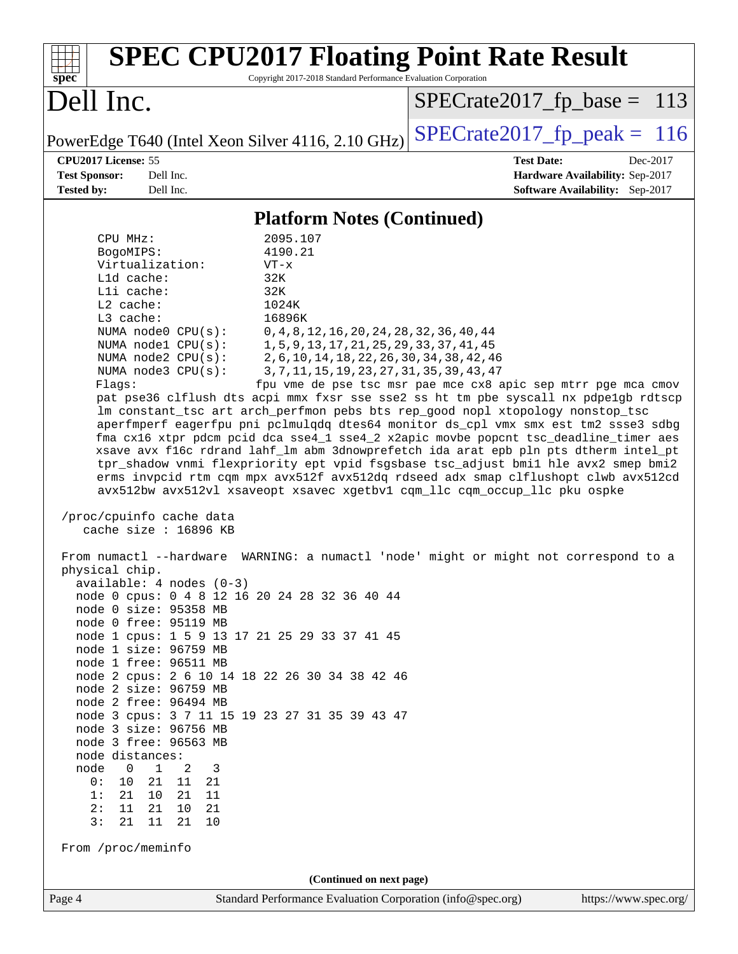| Copyright 2017-2018 Standard Performance Evaluation Corporation<br>$spec^*$                                                                                                                                                                                                                                                                                                                                                                                                                                                                                                                                                                                                                                                                                                                                                                                                                                                                                                                                                                                                                                                                                                                                                                                                                                                                                                                                                                                                                                                                                                                                                                                                                                                                                                                                                                                                                                                                                                                                                                                                        |
|------------------------------------------------------------------------------------------------------------------------------------------------------------------------------------------------------------------------------------------------------------------------------------------------------------------------------------------------------------------------------------------------------------------------------------------------------------------------------------------------------------------------------------------------------------------------------------------------------------------------------------------------------------------------------------------------------------------------------------------------------------------------------------------------------------------------------------------------------------------------------------------------------------------------------------------------------------------------------------------------------------------------------------------------------------------------------------------------------------------------------------------------------------------------------------------------------------------------------------------------------------------------------------------------------------------------------------------------------------------------------------------------------------------------------------------------------------------------------------------------------------------------------------------------------------------------------------------------------------------------------------------------------------------------------------------------------------------------------------------------------------------------------------------------------------------------------------------------------------------------------------------------------------------------------------------------------------------------------------------------------------------------------------------------------------------------------------|
| Dell Inc.<br>$SPECrate2017_fp\_base = 113$                                                                                                                                                                                                                                                                                                                                                                                                                                                                                                                                                                                                                                                                                                                                                                                                                                                                                                                                                                                                                                                                                                                                                                                                                                                                                                                                                                                                                                                                                                                                                                                                                                                                                                                                                                                                                                                                                                                                                                                                                                         |
| $SPECrate2017_fp\_peak = 116$<br>PowerEdge T640 (Intel Xeon Silver 4116, 2.10 GHz)                                                                                                                                                                                                                                                                                                                                                                                                                                                                                                                                                                                                                                                                                                                                                                                                                                                                                                                                                                                                                                                                                                                                                                                                                                                                                                                                                                                                                                                                                                                                                                                                                                                                                                                                                                                                                                                                                                                                                                                                 |
| CPU2017 License: 55<br><b>Test Date:</b><br>Dec-2017<br><b>Test Sponsor:</b><br>Dell Inc.<br>Hardware Availability: Sep-2017<br><b>Tested by:</b><br>Dell Inc.<br>Software Availability: Sep-2017                                                                                                                                                                                                                                                                                                                                                                                                                                                                                                                                                                                                                                                                                                                                                                                                                                                                                                                                                                                                                                                                                                                                                                                                                                                                                                                                                                                                                                                                                                                                                                                                                                                                                                                                                                                                                                                                                  |
| <b>Platform Notes (Continued)</b>                                                                                                                                                                                                                                                                                                                                                                                                                                                                                                                                                                                                                                                                                                                                                                                                                                                                                                                                                                                                                                                                                                                                                                                                                                                                                                                                                                                                                                                                                                                                                                                                                                                                                                                                                                                                                                                                                                                                                                                                                                                  |
| 2095.107<br>CPU MHz:<br>4190.21<br>BogoMIPS:<br>Virtualization:<br>$VT - x$<br>L1d cache:<br>32K<br>Lli cache:<br>32K<br>$L2$ cache:<br>1024K<br>L3 cache:<br>16896K<br>NUMA node0 CPU(s):<br>$0, 4, 8, 12, 16, 20, 24, 28, 32, 36, 40, 44$<br>NUMA nodel CPU(s):<br>1, 5, 9, 13, 17, 21, 25, 29, 33, 37, 41, 45<br>NUMA $node2$ $CPU(s):$<br>2, 6, 10, 14, 18, 22, 26, 30, 34, 38, 42, 46<br>3, 7, 11, 15, 19, 23, 27, 31, 35, 39, 43, 47<br>NUMA node3 CPU(s):<br>Flags:<br>fpu vme de pse tsc msr pae mce cx8 apic sep mtrr pge mca cmov<br>pat pse36 clflush dts acpi mmx fxsr sse sse2 ss ht tm pbe syscall nx pdpelgb rdtscp<br>lm constant_tsc art arch_perfmon pebs bts rep_good nopl xtopology nonstop_tsc<br>aperfmperf eagerfpu pni pclmulqdq dtes64 monitor ds_cpl vmx smx est tm2 ssse3 sdbg<br>fma cx16 xtpr pdcm pcid dca sse4_1 sse4_2 x2apic movbe popcnt tsc_deadline_timer aes<br>xsave avx f16c rdrand lahf_lm abm 3dnowprefetch ida arat epb pln pts dtherm intel_pt<br>tpr_shadow vnmi flexpriority ept vpid fsgsbase tsc_adjust bmil hle avx2 smep bmi2<br>erms invpcid rtm cqm mpx avx512f avx512dq rdseed adx smap clflushopt clwb avx512cd<br>avx512bw avx512vl xsaveopt xsavec xgetbvl cqm_llc cqm_occup_llc pku ospke<br>/proc/cpuinfo cache data<br>cache size : 16896 KB<br>From numactl --hardware WARNING: a numactl 'node' might or might not correspond to a<br>physical chip.<br>$available: 4 nodes (0-3)$<br>node 0 cpus: 0 4 8 12 16 20 24 28 32 36 40 44<br>node 0 size: 95358 MB<br>node 0 free: 95119 MB<br>node 1 cpus: 1 5 9 13 17 21 25 29 33 37 41 45<br>node 1 size: 96759 MB<br>node 1 free: 96511 MB<br>node 2 cpus: 2 6 10 14 18 22 26 30 34 38 42 46<br>node 2 size: 96759 MB<br>node 2 free: 96494 MB<br>node 3 cpus: 3 7 11 15 19 23 27 31 35 39 43 47<br>node 3 size: 96756 MB<br>node 3 free: 96563 MB<br>node distances:<br>$\mathbf{1}$<br>node<br>$\overline{0}$<br>2<br>3<br>0 :<br>10<br>21<br>11<br>21<br>21<br>10<br>21<br>11<br>1:<br>2:<br>11<br>21<br>21<br>10<br>3:<br>21<br>11<br>21<br>10<br>From /proc/meminfo |
| (Continued on next page)<br>Standard Performance Evaluation Corporation (info@spec.org)<br>https://www.spec.org/<br>Page 4                                                                                                                                                                                                                                                                                                                                                                                                                                                                                                                                                                                                                                                                                                                                                                                                                                                                                                                                                                                                                                                                                                                                                                                                                                                                                                                                                                                                                                                                                                                                                                                                                                                                                                                                                                                                                                                                                                                                                         |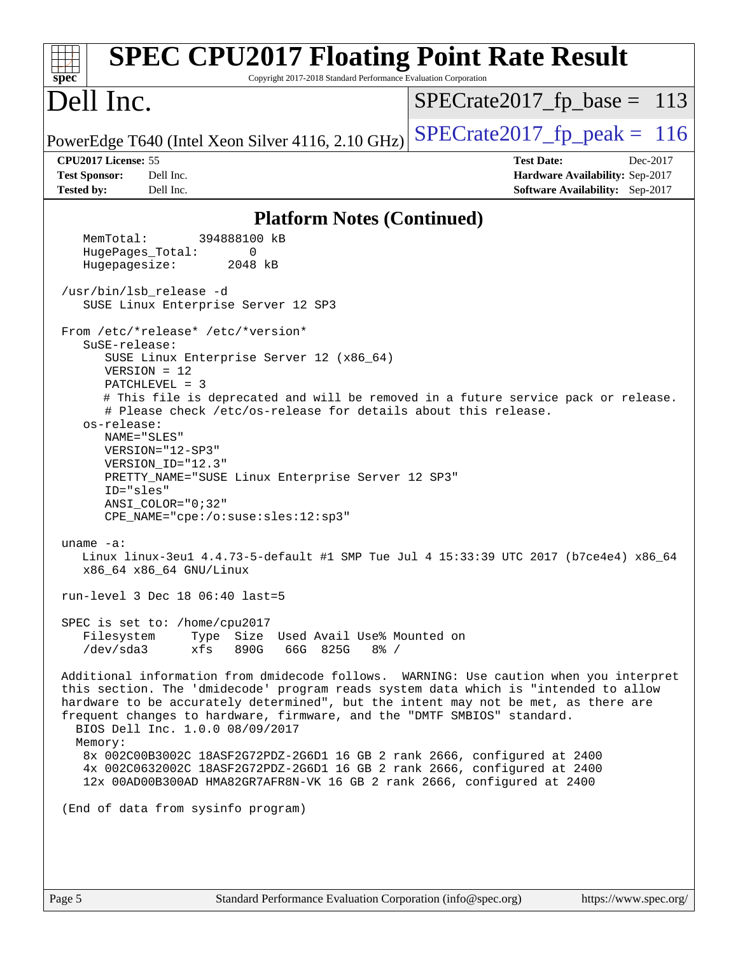| <b>SPEC CPU2017 Floating Point Rate Result</b><br>Copyright 2017-2018 Standard Performance Evaluation Corporation<br>$spec^*$                                                                                                                                                                                                                                                                                                                                                                                                                                                                                                   |                                                                                                            |
|---------------------------------------------------------------------------------------------------------------------------------------------------------------------------------------------------------------------------------------------------------------------------------------------------------------------------------------------------------------------------------------------------------------------------------------------------------------------------------------------------------------------------------------------------------------------------------------------------------------------------------|------------------------------------------------------------------------------------------------------------|
| Dell Inc.                                                                                                                                                                                                                                                                                                                                                                                                                                                                                                                                                                                                                       | $SPECrate2017_fp\_base = 113$                                                                              |
| PowerEdge T640 (Intel Xeon Silver 4116, 2.10 GHz)                                                                                                                                                                                                                                                                                                                                                                                                                                                                                                                                                                               | $SPECTate2017$ _fp_peak = 116                                                                              |
| CPU2017 License: 55<br><b>Test Sponsor:</b><br>Dell Inc.<br><b>Tested by:</b><br>Dell Inc.                                                                                                                                                                                                                                                                                                                                                                                                                                                                                                                                      | <b>Test Date:</b><br>Dec-2017<br>Hardware Availability: Sep-2017<br><b>Software Availability:</b> Sep-2017 |
| <b>Platform Notes (Continued)</b>                                                                                                                                                                                                                                                                                                                                                                                                                                                                                                                                                                                               |                                                                                                            |
| 394888100 kB<br>MemTotal:<br>HugePages_Total:<br>$\Omega$<br>Hugepagesize:<br>2048 kB                                                                                                                                                                                                                                                                                                                                                                                                                                                                                                                                           |                                                                                                            |
| /usr/bin/lsb release -d<br>SUSE Linux Enterprise Server 12 SP3                                                                                                                                                                                                                                                                                                                                                                                                                                                                                                                                                                  |                                                                                                            |
| From /etc/*release* /etc/*version*<br>SuSE-release:<br>SUSE Linux Enterprise Server 12 (x86_64)<br>$VERSION = 12$<br>$PATCHLEVEL = 3$<br># This file is deprecated and will be removed in a future service pack or release.<br># Please check /etc/os-release for details about this release.<br>os-release:<br>NAME="SLES"<br>VERSION="12-SP3"<br>VERSION_ID="12.3"<br>PRETTY_NAME="SUSE Linux Enterprise Server 12 SP3"<br>ID="sles"<br>$ANSI$ _COLOR=" $0:32$ "<br>CPE_NAME="cpe:/o:suse:sles:12:sp3"                                                                                                                        |                                                                                                            |
| uname $-a$ :<br>Linux linux-3eu1 4.4.73-5-default #1 SMP Tue Jul 4 15:33:39 UTC 2017 (b7ce4e4) x86_64<br>x86_64 x86_64 GNU/Linux<br>run-level 3 Dec 18 $06:40$ last=5                                                                                                                                                                                                                                                                                                                                                                                                                                                           |                                                                                                            |
| SPEC is set to: /home/cpu2017<br>Filesystem<br>Type Size Used Avail Use% Mounted on<br>/dev/sda3<br>xfs<br>890G<br>66G 825G 8% /                                                                                                                                                                                                                                                                                                                                                                                                                                                                                                |                                                                                                            |
| Additional information from dmidecode follows. WARNING: Use caution when you interpret<br>this section. The 'dmidecode' program reads system data which is "intended to allow<br>hardware to be accurately determined", but the intent may not be met, as there are<br>frequent changes to hardware, firmware, and the "DMTF SMBIOS" standard.<br>BIOS Dell Inc. 1.0.0 08/09/2017<br>Memory:<br>8x 002C00B3002C 18ASF2G72PDZ-2G6D1 16 GB 2 rank 2666, configured at 2400<br>4x 002C0632002C 18ASF2G72PDZ-2G6D1 16 GB 2 rank 2666, configured at 2400<br>12x 00AD00B300AD HMA82GR7AFR8N-VK 16 GB 2 rank 2666, configured at 2400 |                                                                                                            |
| (End of data from sysinfo program)                                                                                                                                                                                                                                                                                                                                                                                                                                                                                                                                                                                              |                                                                                                            |
|                                                                                                                                                                                                                                                                                                                                                                                                                                                                                                                                                                                                                                 |                                                                                                            |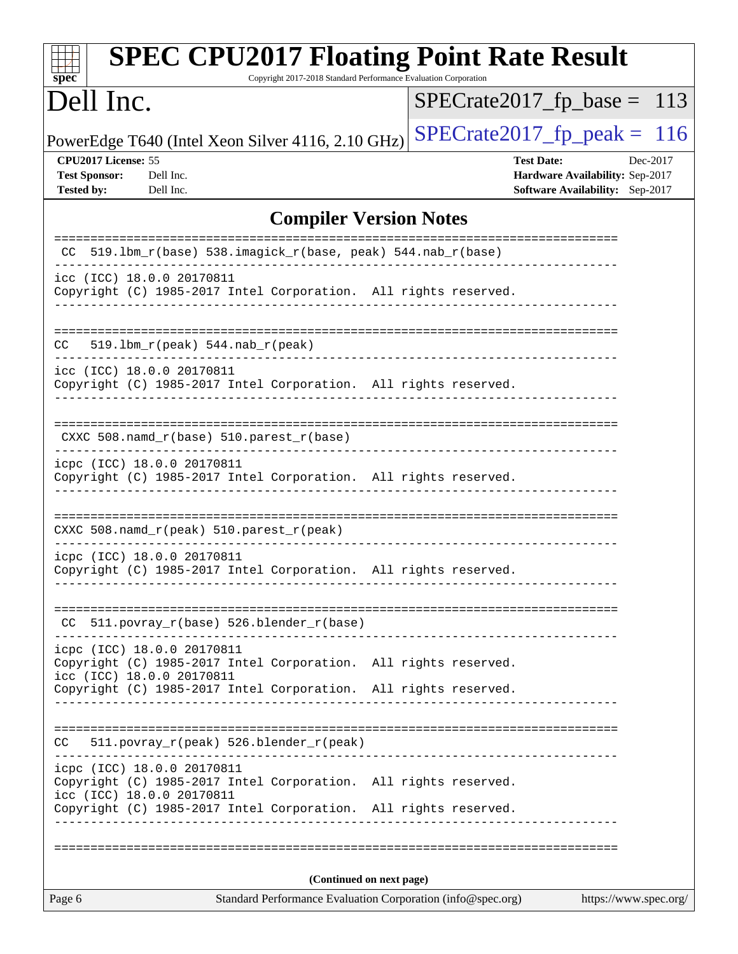| $spec^*$                                                                                                                                                                                      | <b>SPEC CPU2017 Floating Point Rate Result</b><br>Copyright 2017-2018 Standard Performance Evaluation Corporation |
|-----------------------------------------------------------------------------------------------------------------------------------------------------------------------------------------------|-------------------------------------------------------------------------------------------------------------------|
| Dell Inc.                                                                                                                                                                                     | $SPECrate2017_fp\_base = 113$                                                                                     |
| PowerEdge T640 (Intel Xeon Silver 4116, 2.10 GHz)                                                                                                                                             | $SPECTate2017$ _fp_peak = 116                                                                                     |
| CPU2017 License: 55<br><b>Test Sponsor:</b><br>Dell Inc.<br><b>Tested by:</b><br>Dell Inc.                                                                                                    | <b>Test Date:</b><br>Dec-2017<br>Hardware Availability: Sep-2017<br>Software Availability: Sep-2017               |
|                                                                                                                                                                                               | <b>Compiler Version Notes</b>                                                                                     |
| CC 519.1bm_r(base) 538.imagick_r(base, peak) 544.nab_r(base)                                                                                                                                  | ======================                                                                                            |
| _________________<br>icc (ICC) 18.0.0 20170811<br>Copyright (C) 1985-2017 Intel Corporation. All rights reserved.                                                                             |                                                                                                                   |
| CC<br>$519.1bm_r(peak) 544.nab_r(peak)$                                                                                                                                                       |                                                                                                                   |
| icc (ICC) 18.0.0 20170811<br>Copyright (C) 1985-2017 Intel Corporation. All rights reserved.                                                                                                  |                                                                                                                   |
| CXXC 508.namd_r(base) 510.parest_r(base)<br>--------------------------------------                                                                                                            |                                                                                                                   |
| icpc (ICC) 18.0.0 20170811<br>Copyright (C) 1985-2017 Intel Corporation. All rights reserved.                                                                                                 |                                                                                                                   |
| CXXC 508.namd_r(peak) 510.parest_r(peak)                                                                                                                                                      |                                                                                                                   |
| icpc (ICC) 18.0.0 20170811<br>Copyright (C) 1985-2017 Intel Corporation. All rights reserved.                                                                                                 |                                                                                                                   |
| 511.povray_r(base) 526.blender_r(base)<br>CC.                                                                                                                                                 |                                                                                                                   |
| icpc (ICC) 18.0.0 20170811<br>Copyright (C) 1985-2017 Intel Corporation. All rights reserved.<br>icc (ICC) 18.0.0 20170811                                                                    |                                                                                                                   |
| Copyright (C) 1985-2017 Intel Corporation. All rights reserved.                                                                                                                               |                                                                                                                   |
| 511.povray_r(peak) 526.blender_r(peak)<br>CC                                                                                                                                                  |                                                                                                                   |
| icpc (ICC) 18.0.0 20170811<br>Copyright (C) 1985-2017 Intel Corporation. All rights reserved.<br>icc (ICC) 18.0.0 20170811<br>Copyright (C) 1985-2017 Intel Corporation. All rights reserved. |                                                                                                                   |
|                                                                                                                                                                                               |                                                                                                                   |
|                                                                                                                                                                                               | (Continued on next page)                                                                                          |
| Page 6                                                                                                                                                                                        | Standard Performance Evaluation Corporation (info@spec.org)<br>https://www.spec.org/                              |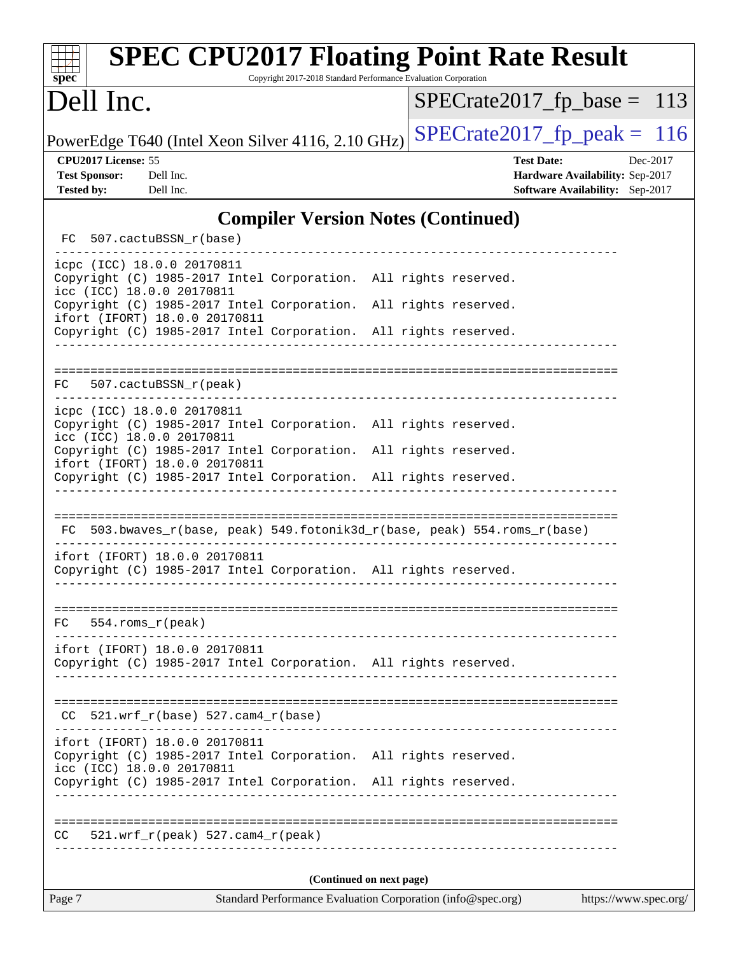| <b>SPEC CPU2017 Floating Point Rate Result</b><br>Copyright 2017-2018 Standard Performance Evaluation Corporation<br>spec <sup>®</sup> |                                                                                                     |
|----------------------------------------------------------------------------------------------------------------------------------------|-----------------------------------------------------------------------------------------------------|
| Dell Inc.                                                                                                                              | $SPECrate2017_fp\_base = 113$                                                                       |
| PowerEdge T640 (Intel Xeon Silver 4116, 2.10 GHz)                                                                                      | $SPECTate2017$ _fp_peak = 116                                                                       |
| CPU2017 License: 55<br><b>Test Sponsor:</b><br>Dell Inc.<br><b>Tested by:</b><br>Dell Inc.                                             | <b>Test Date:</b><br>Dec-2017<br>Hardware Availability: Sep-2017<br>Software Availability: Sep-2017 |
| <b>Compiler Version Notes (Continued)</b>                                                                                              |                                                                                                     |
| 507.cactuBSSN_r(base)<br>FC.                                                                                                           |                                                                                                     |
| icpc (ICC) 18.0.0 20170811<br>Copyright (C) 1985-2017 Intel Corporation. All rights reserved.<br>icc (ICC) 18.0.0 20170811             |                                                                                                     |
| Copyright (C) 1985-2017 Intel Corporation. All rights reserved.<br>ifort (IFORT) 18.0.0 20170811                                       |                                                                                                     |
| Copyright (C) 1985-2017 Intel Corporation. All rights reserved.                                                                        |                                                                                                     |
| 507.cactuBSSN_r(peak)<br>FC.                                                                                                           |                                                                                                     |
| icpc (ICC) 18.0.0 20170811<br>Copyright (C) 1985-2017 Intel Corporation. All rights reserved.<br>icc (ICC) 18.0.0 20170811             |                                                                                                     |
| Copyright (C) 1985-2017 Intel Corporation. All rights reserved.<br>ifort (IFORT) 18.0.0 20170811                                       |                                                                                                     |
| Copyright (C) 1985-2017 Intel Corporation. All rights reserved.                                                                        |                                                                                                     |
| 503.bwaves_r(base, peak) 549.fotonik3d_r(base, peak) 554.roms_r(base)<br>FC.                                                           |                                                                                                     |
| ifort (IFORT) 18.0.0 20170811<br>Copyright (C) 1985-2017 Intel Corporation. All rights reserved.                                       |                                                                                                     |
| $554.rows_r (peak)$<br>FC                                                                                                              |                                                                                                     |
| ifort (IFORT) 18.0.0 20170811<br>Copyright (C) 1985-2017 Intel Corporation. All rights reserved.                                       |                                                                                                     |
| $CC$ 521.wrf_r(base) 527.cam4_r(base)                                                                                                  | -----------------------------------                                                                 |
| ifort (IFORT) 18.0.0 20170811<br>Copyright (C) 1985-2017 Intel Corporation. All rights reserved.<br>icc (ICC) 18.0.0 20170811          |                                                                                                     |
| Copyright (C) 1985-2017 Intel Corporation. All rights reserved.                                                                        |                                                                                                     |
| $521.wrf_r(peak) 527.cam4_r(peak)$<br>CC.                                                                                              |                                                                                                     |
| (Continued on next page)                                                                                                               |                                                                                                     |
| Standard Performance Evaluation Corporation (info@spec.org)<br>Page 7                                                                  | https://www.spec.org/                                                                               |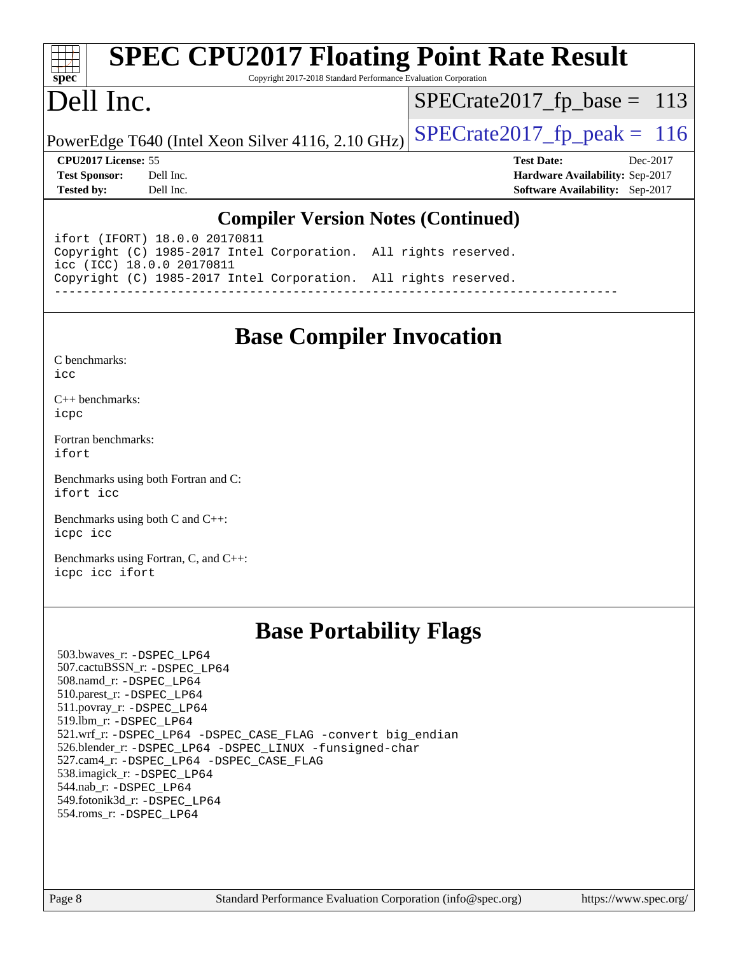|                            | <b>SPEC CPU2017 Floating Point Rate Result</b>                  |                                        |  |
|----------------------------|-----------------------------------------------------------------|----------------------------------------|--|
| $spec^*$<br>Dell Inc.      | Copyright 2017-2018 Standard Performance Evaluation Corporation | $SPECrate2017_fp\_base = 113$          |  |
|                            | PowerEdge T640 (Intel Xeon Silver 4116, 2.10 GHz)               | $SPECTate2017_fp\_peak = 116$          |  |
| <b>CPU2017 License: 55</b> |                                                                 | <b>Test Date:</b><br>Dec-2017          |  |
| <b>Test Sponsor:</b>       | Dell Inc.                                                       | Hardware Availability: Sep-2017        |  |
| <b>Tested by:</b>          | Dell Inc.                                                       | <b>Software Availability:</b> Sep-2017 |  |
|                            |                                                                 |                                        |  |

#### **[Compiler Version Notes \(Continued\)](http://www.spec.org/auto/cpu2017/Docs/result-fields.html#CompilerVersionNotes)**

ifort (IFORT) 18.0.0 20170811 Copyright (C) 1985-2017 Intel Corporation. All rights reserved. icc (ICC) 18.0.0 20170811 Copyright (C) 1985-2017 Intel Corporation. All rights reserved. ------------------------------------------------------------------------------

# **[Base Compiler Invocation](http://www.spec.org/auto/cpu2017/Docs/result-fields.html#BaseCompilerInvocation)**

[C++ benchmarks:](http://www.spec.org/auto/cpu2017/Docs/result-fields.html#CXXbenchmarks) [icpc](http://www.spec.org/cpu2017/results/res2018q1/cpu2017-20171222-01944.flags.html#user_CXXbase_intel_icpc_18.0_c510b6838c7f56d33e37e94d029a35b4a7bccf4766a728ee175e80a419847e808290a9b78be685c44ab727ea267ec2f070ec5dc83b407c0218cded6866a35d07)

[Fortran benchmarks](http://www.spec.org/auto/cpu2017/Docs/result-fields.html#Fortranbenchmarks): [ifort](http://www.spec.org/cpu2017/results/res2018q1/cpu2017-20171222-01944.flags.html#user_FCbase_intel_ifort_18.0_8111460550e3ca792625aed983ce982f94888b8b503583aa7ba2b8303487b4d8a21a13e7191a45c5fd58ff318f48f9492884d4413fa793fd88dd292cad7027ca)

[Benchmarks using both Fortran and C](http://www.spec.org/auto/cpu2017/Docs/result-fields.html#BenchmarksusingbothFortranandC): [ifort](http://www.spec.org/cpu2017/results/res2018q1/cpu2017-20171222-01944.flags.html#user_CC_FCbase_intel_ifort_18.0_8111460550e3ca792625aed983ce982f94888b8b503583aa7ba2b8303487b4d8a21a13e7191a45c5fd58ff318f48f9492884d4413fa793fd88dd292cad7027ca) [icc](http://www.spec.org/cpu2017/results/res2018q1/cpu2017-20171222-01944.flags.html#user_CC_FCbase_intel_icc_18.0_66fc1ee009f7361af1fbd72ca7dcefbb700085f36577c54f309893dd4ec40d12360134090235512931783d35fd58c0460139e722d5067c5574d8eaf2b3e37e92)

[Benchmarks using both C and C++](http://www.spec.org/auto/cpu2017/Docs/result-fields.html#BenchmarksusingbothCandCXX): [icpc](http://www.spec.org/cpu2017/results/res2018q1/cpu2017-20171222-01944.flags.html#user_CC_CXXbase_intel_icpc_18.0_c510b6838c7f56d33e37e94d029a35b4a7bccf4766a728ee175e80a419847e808290a9b78be685c44ab727ea267ec2f070ec5dc83b407c0218cded6866a35d07) [icc](http://www.spec.org/cpu2017/results/res2018q1/cpu2017-20171222-01944.flags.html#user_CC_CXXbase_intel_icc_18.0_66fc1ee009f7361af1fbd72ca7dcefbb700085f36577c54f309893dd4ec40d12360134090235512931783d35fd58c0460139e722d5067c5574d8eaf2b3e37e92)

[Benchmarks using Fortran, C, and C++:](http://www.spec.org/auto/cpu2017/Docs/result-fields.html#BenchmarksusingFortranCandCXX) [icpc](http://www.spec.org/cpu2017/results/res2018q1/cpu2017-20171222-01944.flags.html#user_CC_CXX_FCbase_intel_icpc_18.0_c510b6838c7f56d33e37e94d029a35b4a7bccf4766a728ee175e80a419847e808290a9b78be685c44ab727ea267ec2f070ec5dc83b407c0218cded6866a35d07) [icc](http://www.spec.org/cpu2017/results/res2018q1/cpu2017-20171222-01944.flags.html#user_CC_CXX_FCbase_intel_icc_18.0_66fc1ee009f7361af1fbd72ca7dcefbb700085f36577c54f309893dd4ec40d12360134090235512931783d35fd58c0460139e722d5067c5574d8eaf2b3e37e92) [ifort](http://www.spec.org/cpu2017/results/res2018q1/cpu2017-20171222-01944.flags.html#user_CC_CXX_FCbase_intel_ifort_18.0_8111460550e3ca792625aed983ce982f94888b8b503583aa7ba2b8303487b4d8a21a13e7191a45c5fd58ff318f48f9492884d4413fa793fd88dd292cad7027ca)

## **[Base Portability Flags](http://www.spec.org/auto/cpu2017/Docs/result-fields.html#BasePortabilityFlags)**

 503.bwaves\_r: [-DSPEC\\_LP64](http://www.spec.org/cpu2017/results/res2018q1/cpu2017-20171222-01944.flags.html#suite_basePORTABILITY503_bwaves_r_DSPEC_LP64) 507.cactuBSSN\_r: [-DSPEC\\_LP64](http://www.spec.org/cpu2017/results/res2018q1/cpu2017-20171222-01944.flags.html#suite_basePORTABILITY507_cactuBSSN_r_DSPEC_LP64) 508.namd\_r: [-DSPEC\\_LP64](http://www.spec.org/cpu2017/results/res2018q1/cpu2017-20171222-01944.flags.html#suite_basePORTABILITY508_namd_r_DSPEC_LP64) 510.parest\_r: [-DSPEC\\_LP64](http://www.spec.org/cpu2017/results/res2018q1/cpu2017-20171222-01944.flags.html#suite_basePORTABILITY510_parest_r_DSPEC_LP64) 511.povray\_r: [-DSPEC\\_LP64](http://www.spec.org/cpu2017/results/res2018q1/cpu2017-20171222-01944.flags.html#suite_basePORTABILITY511_povray_r_DSPEC_LP64) 519.lbm\_r: [-DSPEC\\_LP64](http://www.spec.org/cpu2017/results/res2018q1/cpu2017-20171222-01944.flags.html#suite_basePORTABILITY519_lbm_r_DSPEC_LP64) 521.wrf\_r: [-DSPEC\\_LP64](http://www.spec.org/cpu2017/results/res2018q1/cpu2017-20171222-01944.flags.html#suite_basePORTABILITY521_wrf_r_DSPEC_LP64) [-DSPEC\\_CASE\\_FLAG](http://www.spec.org/cpu2017/results/res2018q1/cpu2017-20171222-01944.flags.html#b521.wrf_r_baseCPORTABILITY_DSPEC_CASE_FLAG) [-convert big\\_endian](http://www.spec.org/cpu2017/results/res2018q1/cpu2017-20171222-01944.flags.html#user_baseFPORTABILITY521_wrf_r_convert_big_endian_c3194028bc08c63ac5d04de18c48ce6d347e4e562e8892b8bdbdc0214820426deb8554edfa529a3fb25a586e65a3d812c835984020483e7e73212c4d31a38223) 526.blender\_r: [-DSPEC\\_LP64](http://www.spec.org/cpu2017/results/res2018q1/cpu2017-20171222-01944.flags.html#suite_basePORTABILITY526_blender_r_DSPEC_LP64) [-DSPEC\\_LINUX](http://www.spec.org/cpu2017/results/res2018q1/cpu2017-20171222-01944.flags.html#b526.blender_r_baseCPORTABILITY_DSPEC_LINUX) [-funsigned-char](http://www.spec.org/cpu2017/results/res2018q1/cpu2017-20171222-01944.flags.html#user_baseCPORTABILITY526_blender_r_force_uchar_40c60f00ab013830e2dd6774aeded3ff59883ba5a1fc5fc14077f794d777847726e2a5858cbc7672e36e1b067e7e5c1d9a74f7176df07886a243d7cc18edfe67) 527.cam4\_r: [-DSPEC\\_LP64](http://www.spec.org/cpu2017/results/res2018q1/cpu2017-20171222-01944.flags.html#suite_basePORTABILITY527_cam4_r_DSPEC_LP64) [-DSPEC\\_CASE\\_FLAG](http://www.spec.org/cpu2017/results/res2018q1/cpu2017-20171222-01944.flags.html#b527.cam4_r_baseCPORTABILITY_DSPEC_CASE_FLAG) 538.imagick\_r: [-DSPEC\\_LP64](http://www.spec.org/cpu2017/results/res2018q1/cpu2017-20171222-01944.flags.html#suite_basePORTABILITY538_imagick_r_DSPEC_LP64) 544.nab\_r: [-DSPEC\\_LP64](http://www.spec.org/cpu2017/results/res2018q1/cpu2017-20171222-01944.flags.html#suite_basePORTABILITY544_nab_r_DSPEC_LP64) 549.fotonik3d\_r: [-DSPEC\\_LP64](http://www.spec.org/cpu2017/results/res2018q1/cpu2017-20171222-01944.flags.html#suite_basePORTABILITY549_fotonik3d_r_DSPEC_LP64) 554.roms\_r: [-DSPEC\\_LP64](http://www.spec.org/cpu2017/results/res2018q1/cpu2017-20171222-01944.flags.html#suite_basePORTABILITY554_roms_r_DSPEC_LP64)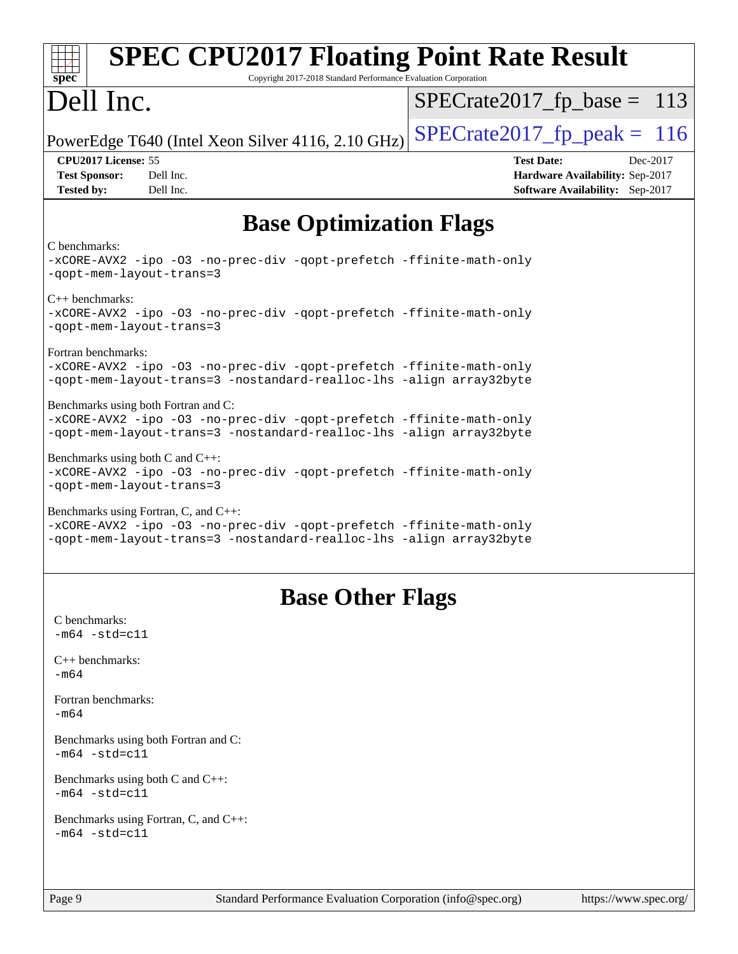| <b>SPEC CPU2017 Floating Point Rate Result</b><br>spec <sup>®</sup><br>Copyright 2017-2018 Standard Performance Evaluation Corporation                                              |                                                                                                     |
|-------------------------------------------------------------------------------------------------------------------------------------------------------------------------------------|-----------------------------------------------------------------------------------------------------|
| Dell Inc.                                                                                                                                                                           | $SPECrate2017_fp\_base = 113$                                                                       |
| PowerEdge T640 (Intel Xeon Silver 4116, 2.10 GHz)                                                                                                                                   | $SPECrate2017fp peak = 116$                                                                         |
| CPU2017 License: 55<br><b>Test Sponsor:</b><br>Dell Inc.<br><b>Tested by:</b><br>Dell Inc.                                                                                          | <b>Test Date:</b><br>Dec-2017<br>Hardware Availability: Sep-2017<br>Software Availability: Sep-2017 |
| <b>Base Optimization Flags</b>                                                                                                                                                      |                                                                                                     |
| C benchmarks:<br>-xCORE-AVX2 -ipo -03 -no-prec-div -qopt-prefetch -ffinite-math-only<br>-qopt-mem-layout-trans=3                                                                    |                                                                                                     |
| $C++$ benchmarks:<br>-xCORE-AVX2 -ipo -03 -no-prec-div -qopt-prefetch -ffinite-math-only<br>-qopt-mem-layout-trans=3                                                                |                                                                                                     |
| Fortran benchmarks:<br>-xCORE-AVX2 -ipo -03 -no-prec-div -qopt-prefetch -ffinite-math-only<br>-qopt-mem-layout-trans=3 -nostandard-realloc-lhs -align array32byte                   |                                                                                                     |
| Benchmarks using both Fortran and C:<br>-xCORE-AVX2 -ipo -03 -no-prec-div -qopt-prefetch -ffinite-math-only<br>-qopt-mem-layout-trans=3 -nostandard-realloc-lhs -align array32byte  |                                                                                                     |
| Benchmarks using both C and C++:<br>-xCORE-AVX2 -ipo -03 -no-prec-div -qopt-prefetch -ffinite-math-only<br>-qopt-mem-layout-trans=3                                                 |                                                                                                     |
| Benchmarks using Fortran, C, and C++:<br>-xCORE-AVX2 -ipo -03 -no-prec-div -qopt-prefetch -ffinite-math-only<br>-qopt-mem-layout-trans=3 -nostandard-realloc-lhs -align array32byte |                                                                                                     |
| <b>Base Other Flags</b>                                                                                                                                                             |                                                                                                     |
| C benchmarks:<br>$-m64 - std= c11$                                                                                                                                                  |                                                                                                     |
| $C++$ benchmarks:<br>-m64                                                                                                                                                           |                                                                                                     |
| Fortran benchmarks:<br>-m64                                                                                                                                                         |                                                                                                     |
| Benchmarks using both Fortran and C:<br>$-m64 - std= c11$                                                                                                                           |                                                                                                     |
| Benchmarks using both C and C++:<br>$-m64 - std= c11$                                                                                                                               |                                                                                                     |
| Benchmarks using Fortran, C, and C++:<br>$-m64 - std= c11$                                                                                                                          |                                                                                                     |
| $P_3$ <sub>o</sub> $\alpha$ <sup>Q</sup><br>Standard Performance Evaluation Corporation $(info@spec.org)$                                                                           | https://www.spec.org/                                                                               |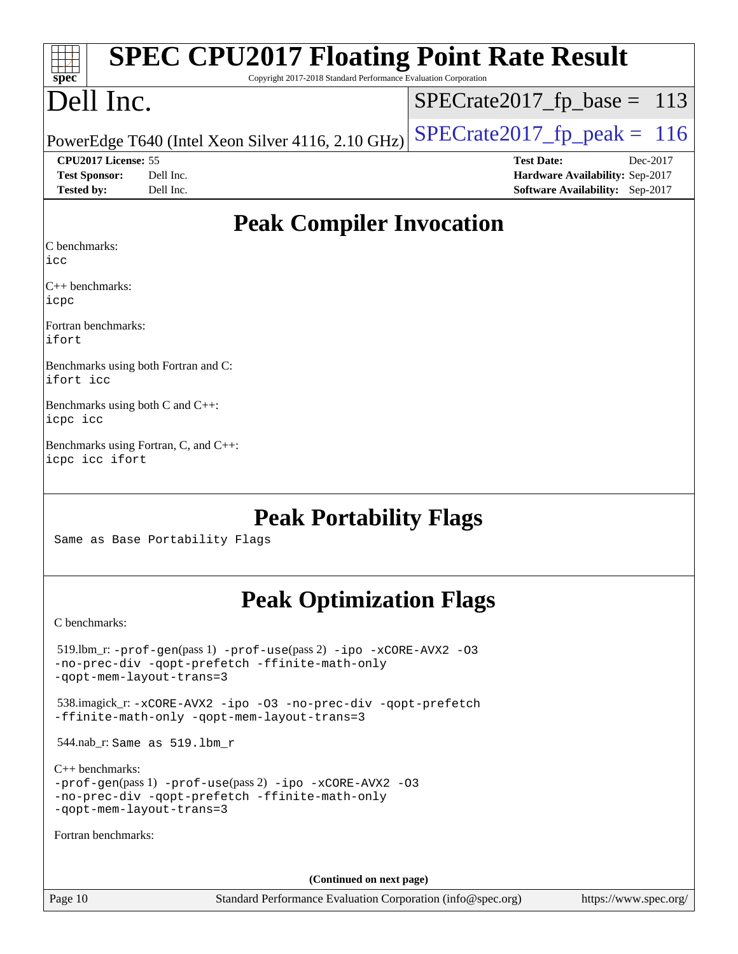| <b>SPEC CPU2017 Floating Point Rate Result</b>                                       |                                 |
|--------------------------------------------------------------------------------------|---------------------------------|
| Copyright 2017-2018 Standard Performance Evaluation Corporation<br>spec <sup>®</sup> |                                 |
| Dell Inc.                                                                            | $SPECrate2017_fp\_base = 113$   |
| PowerEdge T640 (Intel Xeon Silver 4116, 2.10 GHz)                                    | $SPECrate2017_fp\_peak = 116$   |
| CPU2017 License: 55                                                                  | <b>Test Date:</b><br>Dec-2017   |
| <b>Test Sponsor:</b><br>Dell Inc.                                                    | Hardware Availability: Sep-2017 |
| Tested by:<br>Dell Inc.                                                              | Software Availability: Sep-2017 |
| <b>Peak Compiler Invocation</b>                                                      |                                 |
| C benchmarks:<br>licc                                                                |                                 |
| $C_{++}$ benchmarks:<br>icpc                                                         |                                 |
| Fortran benchmarks:<br>ifort                                                         |                                 |
| Benchmarks using both Fortran and C:<br>ifort icc                                    |                                 |
| Benchmarks using both C and C++:<br>icpc icc                                         |                                 |
| Benchmarks using Fortran, C, and C++:<br>icpc icc ifort                              |                                 |
| <b>Peak Portability Flags</b><br>Same as Base Portability Flags                      |                                 |

# **[Peak Optimization Flags](http://www.spec.org/auto/cpu2017/Docs/result-fields.html#PeakOptimizationFlags)**

[C benchmarks](http://www.spec.org/auto/cpu2017/Docs/result-fields.html#Cbenchmarks):

| $519.$ lbm_r: -prof-qen(pass 1) -prof-use(pass 2) -ipo -xCORE-AVX2 -03<br>-no-prec-div -gopt-prefetch -ffinite-math-only<br>-gopt-mem-layout-trans=3             |  |
|------------------------------------------------------------------------------------------------------------------------------------------------------------------|--|
| 538.imagick_r: -xCORE-AVX2 -ipo -03 -no-prec-div -qopt-prefetch<br>-ffinite-math-only -gopt-mem-layout-trans=3                                                   |  |
| $544$ .nab_r: Same as $519$ .lbm r                                                                                                                               |  |
| $C_{++}$ benchmarks:<br>$-prof-qen(pass 1) -prof-use(pass 2) -ipo -xCORE-AVX2 -O3$<br>-no-prec-div -qopt-prefetch -ffinite-math-only<br>-gopt-mem-layout-trans=3 |  |
| Fortran benchmarks:                                                                                                                                              |  |
| (Continued on next page)                                                                                                                                         |  |

Page 10 Standard Performance Evaluation Corporation [\(info@spec.org\)](mailto:info@spec.org) <https://www.spec.org/>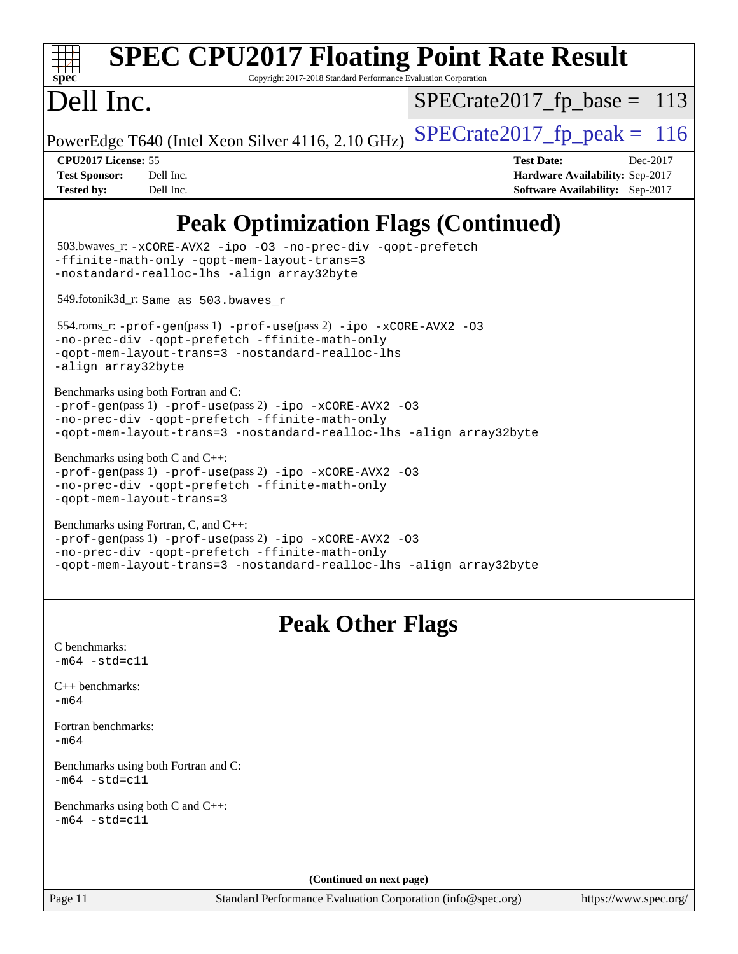|                                                                  | <b>SPEC CPU2017 Floating Point Rate Result</b>                                                                                                                                                                             |                   |                                                                                |
|------------------------------------------------------------------|----------------------------------------------------------------------------------------------------------------------------------------------------------------------------------------------------------------------------|-------------------|--------------------------------------------------------------------------------|
| spec <sup>®</sup>                                                | Copyright 2017-2018 Standard Performance Evaluation Corporation                                                                                                                                                            |                   |                                                                                |
| Dell Inc.                                                        |                                                                                                                                                                                                                            |                   | $SPECrate2017_fp\_base = 113$                                                  |
|                                                                  | PowerEdge T640 (Intel Xeon Silver 4116, 2.10 GHz)                                                                                                                                                                          |                   | $SPECrate2017_fp\_peak = 116$                                                  |
| CPU2017 License: 55<br><b>Test Sponsor:</b><br><b>Tested by:</b> | Dell Inc.<br>Dell Inc.                                                                                                                                                                                                     | <b>Test Date:</b> | Dec-2017<br>Hardware Availability: Sep-2017<br>Software Availability: Sep-2017 |
|                                                                  | <b>Peak Optimization Flags (Continued)</b>                                                                                                                                                                                 |                   |                                                                                |
|                                                                  | 503.bwaves_r: -xCORE-AVX2 -ipo -03 -no-prec-div -qopt-prefetch<br>-ffinite-math-only -qopt-mem-layout-trans=3<br>-nostandard-realloc-lhs -align array32byte                                                                |                   |                                                                                |
|                                                                  | 549.fotonik3d_r: Same as 503.bwaves_r                                                                                                                                                                                      |                   |                                                                                |
| -align array32byte                                               | $554$ .roms_r: -prof-qen(pass 1) -prof-use(pass 2) -ipo -xCORE-AVX2 -03<br>-no-prec-div -qopt-prefetch -ffinite-math-only<br>-gopt-mem-layout-trans=3 -nostandard-realloc-lhs                                              |                   |                                                                                |
|                                                                  | Benchmarks using both Fortran and C:<br>-prof-gen(pass 1) -prof-use(pass 2) -ipo -xCORE-AVX2 -03<br>-no-prec-div -qopt-prefetch -ffinite-math-only<br>-qopt-mem-layout-trans=3 -nostandard-realloc-lhs -align array32byte  |                   |                                                                                |
|                                                                  | Benchmarks using both C and C++:<br>-prof-gen(pass 1) -prof-use(pass 2) -ipo -xCORE-AVX2 -03<br>-no-prec-div -qopt-prefetch -ffinite-math-only<br>-gopt-mem-layout-trans=3                                                 |                   |                                                                                |
|                                                                  | Benchmarks using Fortran, C, and C++:<br>-prof-gen(pass 1) -prof-use(pass 2) -ipo -xCORE-AVX2 -03<br>-no-prec-div -qopt-prefetch -ffinite-math-only<br>-qopt-mem-layout-trans=3 -nostandard-realloc-lhs -align array32byte |                   |                                                                                |
|                                                                  | <b>Peak Other Flags</b>                                                                                                                                                                                                    |                   |                                                                                |
| C benchmarks:<br>$-m64 - std= c11$                               |                                                                                                                                                                                                                            |                   |                                                                                |
| $C++$ benchmarks:<br>$-m64$                                      |                                                                                                                                                                                                                            |                   |                                                                                |
| Fortran benchmarks:<br>$-m64$                                    |                                                                                                                                                                                                                            |                   |                                                                                |
| $-m64 - std= c11$                                                | Benchmarks using both Fortran and C:                                                                                                                                                                                       |                   |                                                                                |
| $-m64 - std= c11$                                                | Benchmarks using both C and C++:                                                                                                                                                                                           |                   |                                                                                |
|                                                                  | (Continued on next page)                                                                                                                                                                                                   |                   |                                                                                |
| Page 11                                                          | Standard Performance Evaluation Corporation (info@spec.org)                                                                                                                                                                |                   | https://www.spec.org/                                                          |